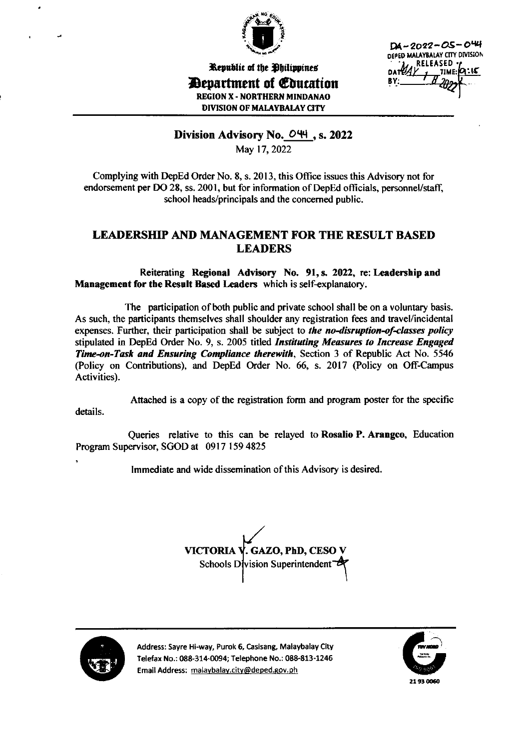

 $DA - 2022 - OS - O44$ DEPED MALAYBALAY CITY DIVISION **RELEASED** 

Republic of the Dhilippines *Department of Education* **REGION X - NORTHERN MINDANAO DIVISION OF MALAYBALAY CITY** 

# Division Advisory No. 044, s. 2022

May 17, 2022

Complying with DepEd Order No. 8, s. 2013, this Office issues this Advisory not for endorsement per DO 28, ss. 2001, but for information of DepEd officials, personnel/staff, school heads/principals and the concerned public.

# LEADERSHIP AND MANAGEMENT FOR THE RESULT BASED **LEADERS**

Reiterating Regional Advisory No. 91, s. 2022, re: Leadership and Management for the Result Based Leaders which is self-explanatory.

The participation of both public and private school shall be on a voluntary basis. As such, the participants themselves shall shoulder any registration fees and travel/incidental expenses. Further, their participation shall be subject to the no-disruption-of-classes policy stipulated in DepEd Order No. 9, s. 2005 titled *Instituting Measures to Increase Engaged* Time-on-Task and Ensuring Compliance therewith, Section 3 of Republic Act No. 5546 (Policy on Contributions), and DepEd Order No. 66, s. 2017 (Policy on Off-Campus Activities).

Attached is a copy of the registration form and program poster for the specific details.

Queries relative to this can be relayed to Rosalio P. Arangeo, Education Program Supervisor, SGOD at 0917 159 4825

Immediate and wide dissemination of this Advisory is desired.





Address: Sayre Hi-way, Purok 6, Casisang, Malaybalay City Telefax No.: 088-314-0094; Telephone No.: 088-813-1246 Email Address: malaybalay.city@deped.gov.ph

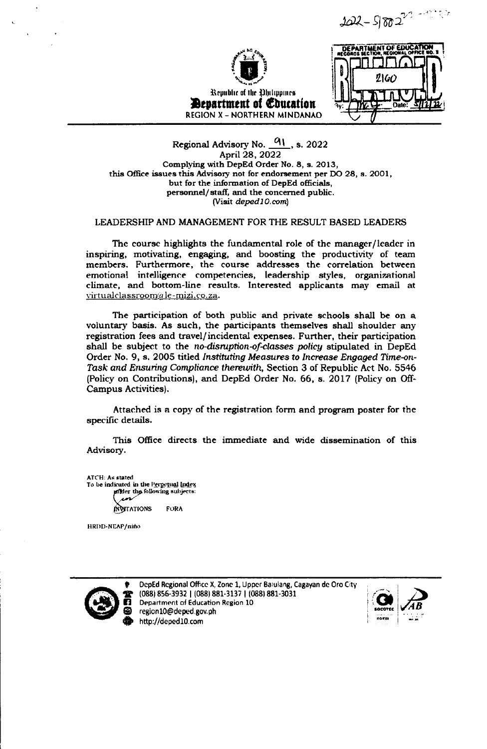202-5 88220 -2020



Republic of the Obilippines **Bevartment of Education REGION X - NORTHERN MINDANAO** 

DEPARTMENT OF EDUCATION 2160 n

Regional Advisory No.  $91$ , s. 2022 April 28, 2022 Complying with DepEd Order No. 8, s. 2013, this Office issues this Advisory not for endorsement per DO 28, s. 2001, but for the information of DepEd officials, personnel/staff, and the concerned public. (Visit deped10.com)

#### LEADERSHIP AND MANAGEMENT FOR THE RESULT BASED LEADERS

The course highlights the fundamental role of the manager/leader in inspiring, motivating, engaging, and boosting the productivity of team members. Furthermore, the course addresses the correlation between emotional intelligence competencies, leadership styles, organizational climate, and bottom-line results. Interested applicants may email at virtualclassroom@le-mizi.co.za.

The participation of both public and private schools shall be on a voluntary basis. As such, the participants themselves shall shoulder any registration fees and travel/incidental expenses. Further, their participation shall be subject to the no-disruption-of-classes policy stipulated in DepEd Order No. 9, s. 2005 titled Instituting Measures to Increase Engaged Time-on-Task and Ensuring Compliance therewith, Section 3 of Republic Act No. 5546 (Policy on Contributions), and DepEd Order No. 66, s. 2017 (Policy on Off-Campus Activities).

Attached is a copy of the registration form and program poster for the specific details.

This Office directs the immediate and wide dissemination of this Advisory.

ATCH: As stated To be indicated in the Perpetual Index mider the following subjects: **INVEATIONS FORA** 

HRDD-NEAP/niño



DepEd Regional Office X, Zone 1, Upper Balulang, Cagayan de Oro City (088) 856-3932 | (088) 881-3137 | (088) 881-3031 Department of Education Region 10 region10@deped.gov.ph http://deped10.com

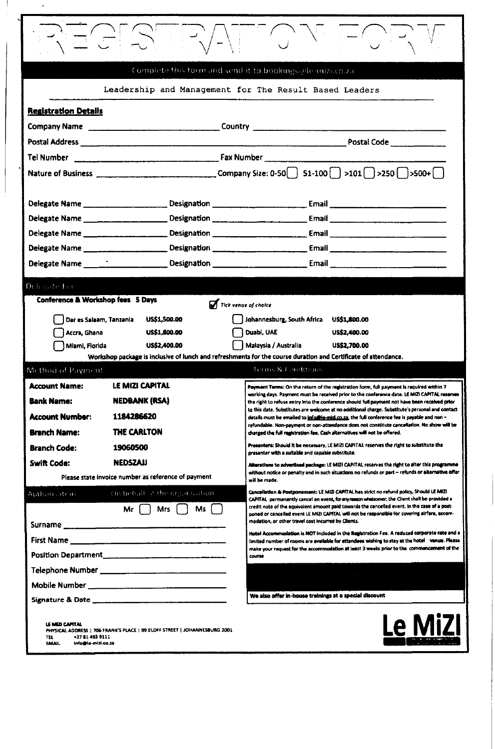| Complete this form and send it to bookings alle mizi.co.za.                                                                                                            |                            |                                                                                                                                                                                                     |  |
|------------------------------------------------------------------------------------------------------------------------------------------------------------------------|----------------------------|-----------------------------------------------------------------------------------------------------------------------------------------------------------------------------------------------------|--|
| Leadership and Management for The Result Based Leaders                                                                                                                 |                            |                                                                                                                                                                                                     |  |
| <b>Registration Details</b>                                                                                                                                            |                            |                                                                                                                                                                                                     |  |
|                                                                                                                                                                        |                            |                                                                                                                                                                                                     |  |
|                                                                                                                                                                        |                            | Postal Code <u>_______ _____</u> ___                                                                                                                                                                |  |
|                                                                                                                                                                        |                            |                                                                                                                                                                                                     |  |
|                                                                                                                                                                        |                            |                                                                                                                                                                                                     |  |
|                                                                                                                                                                        |                            |                                                                                                                                                                                                     |  |
| Delegate Name                                                                                                                                                          |                            |                                                                                                                                                                                                     |  |
|                                                                                                                                                                        |                            |                                                                                                                                                                                                     |  |
| Delegate Name _____________________                                                                                                                                    |                            |                                                                                                                                                                                                     |  |
| Delegate Name ______________________                                                                                                                                   |                            |                                                                                                                                                                                                     |  |
|                                                                                                                                                                        |                            |                                                                                                                                                                                                     |  |
| Delegate Fee<br>Conference & Workshop fees 5 Days<br>Tick venue of choice                                                                                              |                            |                                                                                                                                                                                                     |  |
| Dar es Salaam, Tanzania                                                                                                                                                | <b>US\$1,500.00</b>        | Johannesburg, South Africa<br><b>USS1,800.00</b>                                                                                                                                                    |  |
| Accra, Ghana                                                                                                                                                           | <b>US\$1,800.00</b>        | Duabi, UAE<br>US\$2,400.00                                                                                                                                                                          |  |
| Miami, Florida                                                                                                                                                         | US\$2,400.00               | Malaysia / Australia<br>US\$2,700.00                                                                                                                                                                |  |
| Workshop package is inclusive of lunch and refreshments for the course duration and Certificate of attendance.<br>Terms & Conditions.<br>Method of Payment             |                            |                                                                                                                                                                                                     |  |
| <b>Account Name:</b>                                                                                                                                                   | <b>LE MIZI CAPITAL</b>     |                                                                                                                                                                                                     |  |
| <b>Bank Name:</b>                                                                                                                                                      |                            | Payment Terms: On the return of the registration form, full payment is required within 7<br>working days. Payment must be received prior to the conference date. LE MIZI CAPITAL reserves           |  |
|                                                                                                                                                                        | <b>NEDBANK (RSA)</b>       | the right to refuse entry into the conference should full payment not have been received prior<br>to this date. Substitutes are welcome at no additional charge. Substitute's personal and contact  |  |
| <b>Account Number:</b>                                                                                                                                                 | 1184286620<br>THE CARLTON  | details must be emailed to <b>info@le-mid.co.za</b> , the full conference fee is payable and non -<br>refundable. Non-payment or non-attendance does not constitute cancellation. No show will be   |  |
| <b>Branch Name:</b><br><b>Branch Code:</b>                                                                                                                             | 19060500                   | charged the full registration fee. Cash alternatives will not be offered.<br>Presenters: Should it be necessary, LE MIZI CAPITAL reserves the right to substitute the                               |  |
| Swift Code:                                                                                                                                                            | <b>NEDSZAJI</b>            | presenter with a suitable and capable substitute.                                                                                                                                                   |  |
| Please state invoice number as reference of payment                                                                                                                    |                            | Alterations to advertised package: LE MIZI CAPITAL reserves the right to alter this programme<br>without notice or penalty and in such situations no refunds or part – refunds or alternative offer |  |
| Cancellation & Postponement: LE MIZI CAPITAL has strict no refund policy, Should LE MIZI<br>On behalf of the organization.<br>Authorization                            |                            | will be made.                                                                                                                                                                                       |  |
|                                                                                                                                                                        | Ms<br><b>Mrs</b><br>Mr i I | CAPITAL permanently cancel an event, for any mason whatsoever, the Client shall be provided a<br>credit note of the equivalent amount paid towards the cancelled event. In the case of a post-      |  |
|                                                                                                                                                                        |                            | poned or cancelled event LE MIZI CAPITAL will not be responsible for covering alrfare, accom-<br>modation, or other travel cost incurred by Clients.                                                |  |
|                                                                                                                                                                        |                            | Hotel Accommodation is NOT included in the Registration Fee. A reduced corporate rate and a                                                                                                         |  |
|                                                                                                                                                                        |                            | limited number of rooms are available for attendees wishing to stay at the hotal venue. Please<br>make your request for the accommodation at least 3 weeks prior to the commencement of the         |  |
|                                                                                                                                                                        |                            | <b>COURSE</b>                                                                                                                                                                                       |  |
|                                                                                                                                                                        |                            |                                                                                                                                                                                                     |  |
|                                                                                                                                                                        |                            | We also offer in-house trainings at a special discount                                                                                                                                              |  |
| Le MiZI<br>LE MIZI CAPITAL<br>PHYSICAL ADDRESS   706 FRANK'S PLACE   99 ELOFF STREET   JOHANNESBURG 2001<br>+27814939111<br>TEL<br><b>ERAAIL</b><br>info@le-mizi.co.za |                            |                                                                                                                                                                                                     |  |

 $\hat{\boldsymbol{\beta}}$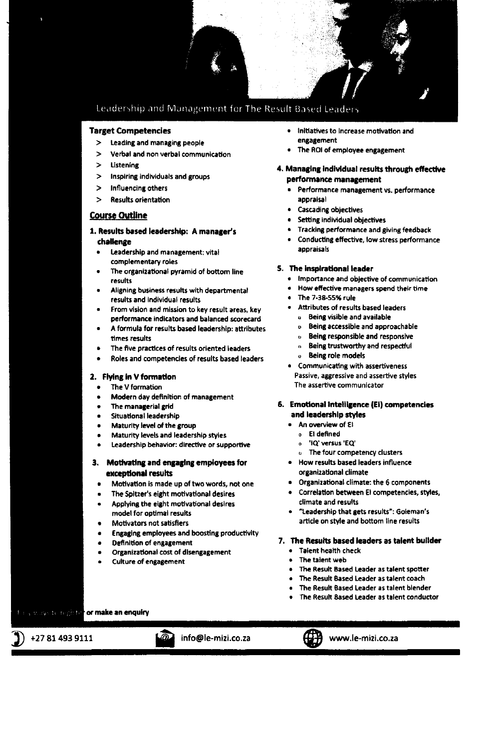

## Leadership and Management for The Result Based Leader

#### **Target Competencies**

- Leading and managing people  $\rightarrow$
- $\mathbf{z}$ Verbal and non verbal communication
- Listening
- Inspiring individuals and groups  $\mathbf{z}$
- $\mathbf{v}$ Influencing others
- **Results orientation**  $\rightarrow$

## **Course Outline**

- 1. Results based leadership: A manager's challenge
	- Leadership and management: vital complementary roles
	- The organizational pyramid of bottom line results
	- Aligning business results with departmental results and individual results
	- From vision and mission to key result areas, key performance indicators and balanced scorecard
	- A formula for results based leadership: attributes times results
	- The five practices of results oriented leaders
	- Roles and competencies of results based leaders

### 2. Flying in V formation

- The V formation
- Modern day definition of management
- The managerial grid
- Situational leadership
- Maturity level of the group
- Maturity levels and leadership styles
- Leadership behavior: directive or supportive

### 3. Motivating and engaging employees for exceptional results

- Motivation is made up of two words, not one
- The Spitzer's eight motivational desires
- Applying the eight motivational desires model for optimal results
- **Motivators not satisfiers**
- **Engaging employees and boosting productivity**
- Definition of engagement
- Organizational cost of disengagement
- Culture of engagement
- Initiatives to Increase motivation and engagement
- The ROI of employee engagement
- 4. Managing individual results through effective performance management
	- Performance management vs. performance appraisal
	- **Cascading objectives**
	- Setting individual objectives
	- Tracking performance and giving feedback
	- Conducting effective, low stress performance appraisals

#### 5. The inspirational leader

- Importance and objective of communication
- How effective managers spend their time
- The 7-38-55% rule
	- Attributes of results based leaders
	- o Being visible and available
	- Being accessible and approachable  $\mathbf{p}$
	- Being responsible and responsive  $\mathbf{a}$
	- Being trustworthy and respectful  $\mathbf{a}$
	- Being role models  $\alpha$
- Communicating with assertiveness Passive, aggressive and assertive styles The assertive communicator

#### 6. Emotional intelligence (EI) competencies and leadership styles

- . An overview of El
- o El defined
	- 'IQ' versus 'EQ'  $\mathbf{a}$
	- **b** The four competency clusters
- · How results based leaders influence organizational climate
- Organizational climate: the 6 components
- Correlation between El competencies, styles, climate and results
- · "Leadership that gets results": Goleman's article on style and bottom line results

## 7. The Results based leaders as talent builder

- Talent health check
- The talent web
- The Result Based Leader as talent spotter
- The Result Based Leader as talent coach
- The Result Based Leader as talent blender
- The Result Based Leader as talent conductor

ways to regard for make an enquiry

+27 81 493 9111

info@le-mizi.co.za